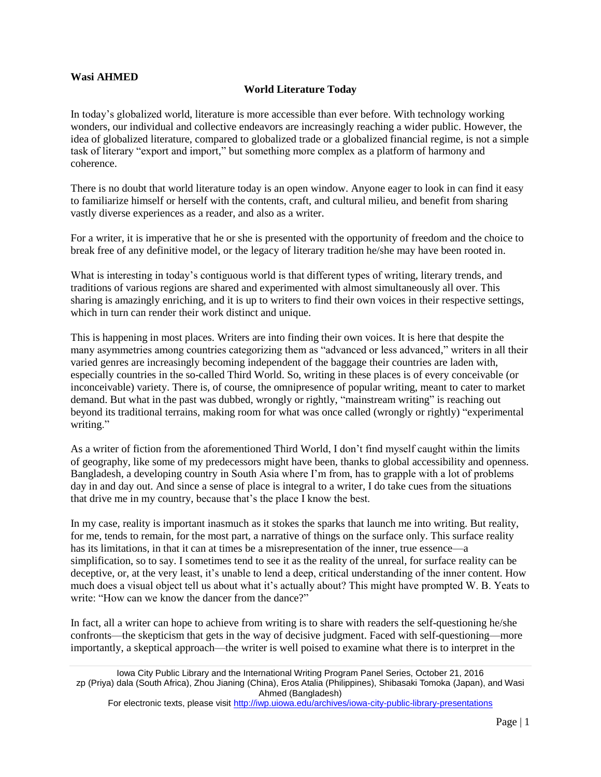## **Wasi AHMED**

## **World Literature Today**

In today's globalized world, literature is more accessible than ever before. With technology working wonders, our individual and collective endeavors are increasingly reaching a wider public. However, the idea of globalized literature, compared to globalized trade or a globalized financial regime, is not a simple task of literary "export and import," but something more complex as a platform of harmony and coherence.

There is no doubt that world literature today is an open window. Anyone eager to look in can find it easy to familiarize himself or herself with the contents, craft, and cultural milieu, and benefit from sharing vastly diverse experiences as a reader, and also as a writer.

For a writer, it is imperative that he or she is presented with the opportunity of freedom and the choice to break free of any definitive model, or the legacy of literary tradition he/she may have been rooted in.

What is interesting in today's contiguous world is that different types of writing, literary trends, and traditions of various regions are shared and experimented with almost simultaneously all over. This sharing is amazingly enriching, and it is up to writers to find their own voices in their respective settings, which in turn can render their work distinct and unique.

This is happening in most places. Writers are into finding their own voices. It is here that despite the many asymmetries among countries categorizing them as "advanced or less advanced," writers in all their varied genres are increasingly becoming independent of the baggage their countries are laden with, especially countries in the so-called Third World. So, writing in these places is of every conceivable (or inconceivable) variety. There is, of course, the omnipresence of popular writing, meant to cater to market demand. But what in the past was dubbed, wrongly or rightly, "mainstream writing" is reaching out beyond its traditional terrains, making room for what was once called (wrongly or rightly) "experimental writing."

As a writer of fiction from the aforementioned Third World, I don't find myself caught within the limits of geography, like some of my predecessors might have been, thanks to global accessibility and openness. Bangladesh, a developing country in South Asia where I'm from, has to grapple with a lot of problems day in and day out. And since a sense of place is integral to a writer, I do take cues from the situations that drive me in my country, because that's the place I know the best.

In my case, reality is important inasmuch as it stokes the sparks that launch me into writing. But reality, for me, tends to remain, for the most part, a narrative of things on the surface only. This surface reality has its limitations, in that it can at times be a misrepresentation of the inner, true essence—a simplification, so to say. I sometimes tend to see it as the reality of the unreal, for surface reality can be deceptive, or, at the very least, it's unable to lend a deep, critical understanding of the inner content. How much does a visual object tell us about what it's actually about? This might have prompted W. B. Yeats to write: "How can we know the dancer from the dance?"

In fact, all a writer can hope to achieve from writing is to share with readers the self-questioning he/she confronts—the skepticism that gets in the way of decisive judgment. Faced with self-questioning—more importantly, a skeptical approach—the writer is well poised to examine what there is to interpret in the

Iowa City Public Library and the International Writing Program Panel Series, October 21, 2016 zp (Priya) dala (South Africa), Zhou Jianing (China), Eros Atalia (Philippines), Shibasaki Tomoka (Japan), and Wasi Ahmed (Bangladesh)

For electronic texts, please visit<http://iwp.uiowa.edu/archives/iowa-city-public-library-presentations>